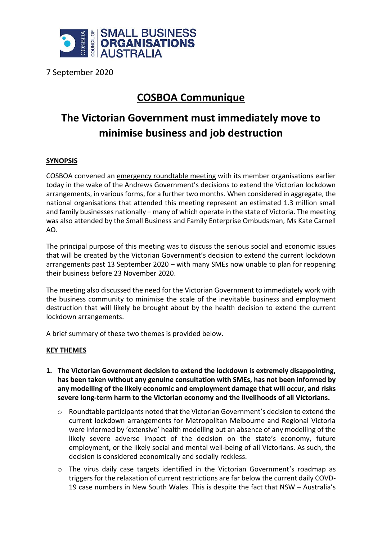

7 September 2020

## **COSBOA Communique**

## **The Victorian Government must immediately move to minimise business and job destruction**

## **SYNOPSIS**

COSBOA convened an emergency roundtable meeting with its member organisations earlier today in the wake of the Andrews Government's decisions to extend the Victorian lockdown arrangements, in various forms, for a further two months. When considered in aggregate, the national organisations that attended this meeting represent an estimated 1.3 million small and family businesses nationally – many of which operate in the state of Victoria. The meeting was also attended by the Small Business and Family Enterprise Ombudsman, Ms Kate Carnell AO.

The principal purpose of this meeting was to discuss the serious social and economic issues that will be created by the Victorian Government's decision to extend the current lockdown arrangements past 13 September 2020 – with many SMEs now unable to plan for reopening their business before 23 November 2020.

The meeting also discussed the need for the Victorian Government to immediately work with the business community to minimise the scale of the inevitable business and employment destruction that will likely be brought about by the health decision to extend the current lockdown arrangements.

A brief summary of these two themes is provided below.

## **KEY THEMES**

- **1. The Victorian Government decision to extend the lockdown is extremely disappointing, has been taken without any genuine consultation with SMEs, has not been informed by any modelling of the likely economic and employment damage that will occur, and risks severe long-term harm to the Victorian economy and the livelihoods of all Victorians.**
	- o Roundtable participants noted that the Victorian Government's decision to extend the current lockdown arrangements for Metropolitan Melbourne and Regional Victoria were informed by 'extensive' health modelling but an absence of any modelling of the likely severe adverse impact of the decision on the state's economy, future employment, or the likely social and mental well-being of all Victorians. As such, the decision is considered economically and socially reckless.
	- o The virus daily case targets identified in the Victorian Government's roadmap as triggers for the relaxation of current restrictions are far below the current daily COVD-19 case numbers in New South Wales. This is despite the fact that NSW – Australia's